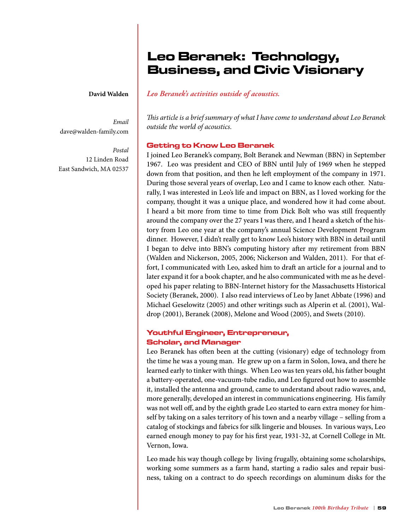# Leo Beranek: Technology, Business, and Civic Visionary

#### **David Walden**

*Email* dave@walden-family.com

*Postal* 12 Linden Road East Sandwich, MA 02537

## *Leo Beranek's activities outside of acoustics.*

*This article is a brief summary of what I have come to understand about Leo Beranek outside the world of acoustics.*

#### Getting to Know Leo Beranek

I joined Leo Beranek's company, Bolt Beranek and Newman (BBN) in September 1967. Leo was president and CEO of BBN until July of 1969 when he stepped down from that position, and then he left employment of the company in 1971. During those several years of overlap, Leo and I came to know each other. Naturally, I was interested in Leo's life and impact on BBN, as I loved working for the company, thought it was a unique place, and wondered how it had come about. I heard a bit more from time to time from Dick Bolt who was still frequently around the company over the 27 years I was there, and I heard a sketch of the history from Leo one year at the company's annual Science Development Program dinner. However, I didn't really get to know Leo's history with BBN in detail until I began to delve into BBN's computing history after my retirement from BBN (Walden and Nickerson, 2005, 2006; Nickerson and Walden, 2011). For that effort, I communicated with Leo, asked him to draft an article for a journal and to later expand it for a book chapter, and he also communicated with me as he developed his paper relating to BBN-Internet history for the Massachusetts Historical Society (Beranek, 2000). I also read interviews of Leo by Janet Abbate (1996) and Michael Geselowitz (2005) and other writings such as Alperin et al. (2001), Waldrop (2001), Beranek (2008), Melone and Wood (2005), and Swets (2010).

# Youthful Engineer, Entrepreneur, Scholar, and Manager

Leo Beranek has often been at the cutting (visionary) edge of technology from the time he was a young man. He grew up on a farm in Solon, Iowa, and there he learned early to tinker with things. When Leo was ten years old, his father bought a battery-operated, one-vacuum-tube radio, and Leo figured out how to assemble it, installed the antenna and ground, came to understand about radio waves, and, more generally, developed an interest in communications engineering. His family was not well off, and by the eighth grade Leo started to earn extra money for himself by taking on a sales territory of his town and a nearby village – selling from a catalog of stockings and fabrics for silk lingerie and blouses. In various ways, Leo earned enough money to pay for his first year, 1931-32, at Cornell College in Mt. Vernon, Iowa.

Leo made his way though college by living frugally, obtaining some scholarships, working some summers as a farm hand, starting a radio sales and repair business, taking on a contract to do speech recordings on aluminum disks for the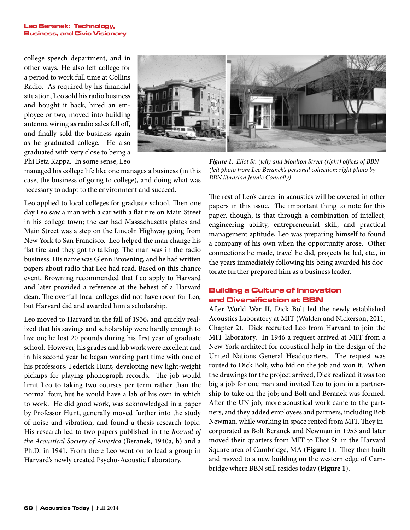#### Leo Beranek: Technology, Business, and Civic Visionary

college speech department, and in other ways. He also left college for a period to work full time at Collins Radio. As required by his financial situation, Leo sold his radio business and bought it back, hired an employee or two, moved into building antenna wiring as radio sales fell off, and finally sold the business again as he graduated college. He also graduated with very close to being a Phi Beta Kappa. In some sense, Leo



managed his college life like one manages a business (in this case, the business of going to college), and doing what was necessary to adapt to the environment and succeed.

Leo applied to local colleges for graduate school. Then one day Leo saw a man with a car with a flat tire on Main Street in his college town; the car had Massachusetts plates and Main Street was a step on the Lincoln Highway going from New York to San Francisco. Leo helped the man change his flat tire and they got to talking. The man was in the radio business. His name was Glenn Browning, and he had written papers about radio that Leo had read. Based on this chance event, Browning recommended that Leo apply to Harvard and later provided a reference at the behest of a Harvard dean. The overfull local colleges did not have room for Leo, but Harvard did and awarded him a scholarship.

Leo moved to Harvard in the fall of 1936, and quickly realized that his savings and scholarship were hardly enough to live on; he lost 20 pounds during his first year of graduate school. However, his grades and lab work were excellent and in his second year he began working part time with one of his professors, Federick Hunt, developing new light-weight pickups for playing phonograph records. The job would limit Leo to taking two courses per term rather than the normal four, but he would have a lab of his own in which to work. He did good work, was acknowledged in a paper by Professor Hunt, generally moved further into the study of noise and vibration, and found a thesis research topic. His research led to two papers published in the *Journal of the Acoustical Society of America* (Beranek, 1940a, b) and a Ph.D. in 1941. From there Leo went on to lead a group in Harvard's newly created Psycho-Acoustic Laboratory.

*Figure 1. Eliot St. (left) and Moulton Street (right) offices of BBN (left photo from Leo Beranek's personal collection; right photo by BBN librarian Jennie Connolly)*

The rest of Leo's career in acoustics will be covered in other papers in this issue. The important thing to note for this paper, though, is that through a combination of intellect, engineering ability, entrepreneurial skill, and practical management aptitude, Leo was preparing himself to found a company of his own when the opportunity arose. Other connections he made, travel he did, projects he led, etc., in the years immediately following his being awarded his doctorate further prepared him as a business leader.

# Building a Culture of Innovation and Diversification at BBN

After World War II, Dick Bolt led the newly established Acoustics Laboratory at MIT (Walden and Nickerson, 2011, Chapter 2). Dick recruited Leo from Harvard to join the MIT laboratory. In 1946 a request arrived at MIT from a New York architect for acoustical help in the design of the United Nations General Headquarters. The request was routed to Dick Bolt, who bid on the job and won it. When the drawings for the project arrived, Dick realized it was too big a job for one man and invited Leo to join in a partnership to take on the job; and Bolt and Beranek was formed. After the UN job, more acoustical work came to the partners, and they added employees and partners, including Bob Newman, while working in space rented from MIT. They incorporated as Bolt Beranek and Newman in 1953 and later moved their quarters from MIT to Eliot St. in the Harvard Square area of Cambridge, MA (**Figure 1**). They then built and moved to a new building on the western edge of Cambridge where BBN still resides today (**Figure 1**).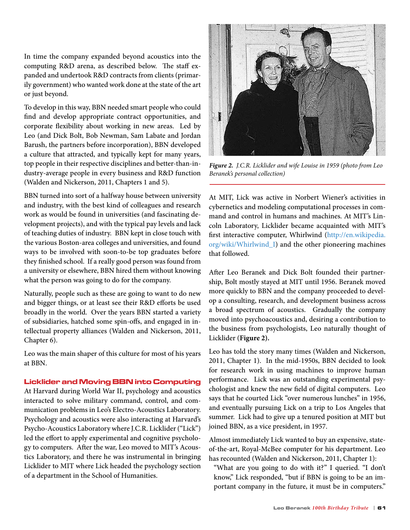In time the company expanded beyond acoustics into the computing R&D arena, as described below. The staff expanded and undertook R&D contracts from clients (primarily government) who wanted work done at the state of the art or just beyond.

To develop in this way, BBN needed smart people who could find and develop appropriate contract opportunities, and corporate flexibility about working in new areas. Led by Leo (and Dick Bolt, Bob Newman, Sam Labate and Jordan Barush, the partners before incorporation), BBN developed a culture that attracted, and typically kept for many years, top people in their respective disciplines and better-than-industry-average people in every business and R&D function (Walden and Nickerson, 2011, Chapters 1 and 5).

BBN turned into sort of a halfway house between university and industry, with the best kind of colleagues and research work as would be found in universities (and fascinating development projects), and with the typical pay levels and lack of teaching duties of industry. BBN kept in close touch with the various Boston-area colleges and universities, and found ways to be involved with soon-to-be top graduates before they finished school. If a really good person was found from a university or elsewhere, BBN hired them without knowing what the person was going to do for the company.

Naturally, people such as these are going to want to do new and bigger things, or at least see their R&D efforts be used broadly in the world. Over the years BBN started a variety of subsidiaries, hatched some spin-offs, and engaged in intellectual property alliances (Walden and Nickerson, 2011, Chapter 6).

Leo was the main shaper of this culture for most of his years at BBN.

### Licklider and Moving BBN into Computing

At Harvard during World War II, psychology and acoustics interacted to solve military command, control, and communication problems in Leo's Electro-Acoustics Laboratory. Psychology and acoustics were also interacting at Harvard's Psycho-Acoustics Laboratory where J.C.R. Licklider ("Lick") led the effort to apply experimental and cognitive psychology to computers. After the war, Leo moved to MIT's Acoustics Laboratory, and there he was instrumental in bringing Licklider to MIT where Lick headed the psychology section of a department in the School of Humanities.



*Figure 2. J.C.R. Licklider and wife Louise in 1959 (photo from Leo Beranek's personal collection)*

At MIT, Lick was active in Norbert Wiener's activities in cybernetics and modeling computational processes in command and control in humans and machines. At MIT's Lincoln Laboratory, Licklider became acquainted with MIT's first interactive computer, Whirlwind (http://en.wikipedia. org/wiki/Whirlwind\_I) and the other pioneering machines that followed.

After Leo Beranek and Dick Bolt founded their partnership, Bolt mostly stayed at MIT until 1956. Beranek moved more quickly to BBN and the company proceeded to develop a consulting, research, and development business across a broad spectrum of acoustics. Gradually the company moved into psychoacoustics and, desiring a contribution to the business from psychologists, Leo naturally thought of Licklider (**Figure 2).** 

Leo has told the story many times (Walden and Nickerson, 2011, Chapter 1). In the mid-1950s, BBN decided to look for research work in using machines to improve human performance. Lick was an outstanding experimental psychologist and knew the new field of digital computers. Leo says that he courted Lick "over numerous lunches" in 1956, and eventually pursuing Lick on a trip to Los Angeles that summer. Lick had to give up a tenured position at MIT but joined BBN, as a vice president, in 1957.

Almost immediately Lick wanted to buy an expensive, stateof-the-art, Royal-McBee computer for his department. Leo has recounted (Walden and Nickerson, 2011, Chapter 1):

 "What are you going to do with it?" I queried. "I don't know," Lick responded, "but if BBN is going to be an important company in the future, it must be in computers."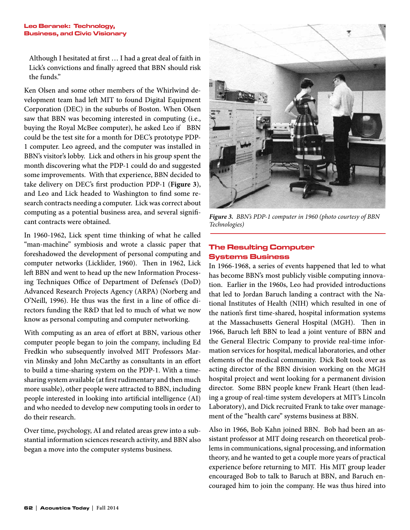#### Leo Beranek: Technology, Business, and Civic Visionary

Although I hesitated at first … I had a great deal of faith in Lick's convictions and finally agreed that BBN should risk the funds."

Ken Olsen and some other members of the Whirlwind development team had left MIT to found Digital Equipment Corporation (DEC) in the suburbs of Boston. When Olsen saw that BBN was becoming interested in computing (i.e., buying the Royal McBee computer), he asked Leo if BBN could be the test site for a month for DEC's prototype PDP-1 computer. Leo agreed, and the computer was installed in BBN's visitor's lobby. Lick and others in his group spent the month discovering what the PDP-1 could do and suggested some improvements. With that experience, BBN decided to take delivery on DEC's first production PDP-1 (**Figure 3**), and Leo and Lick headed to Washington to find some research contracts needing a computer. Lick was correct about computing as a potential business area, and several significant contracts were obtained.

In 1960-1962, Lick spent time thinking of what he called "man-machine" symbiosis and wrote a classic paper that foreshadowed the development of personal computing and computer networks (Licklider, 1960). Then in 1962, Lick left BBN and went to head up the new Information Processing Techniques Office of Department of Defense's (DoD) Advanced Research Projects Agency (ARPA) (Norberg and O'Neill, 1996). He thus was the first in a line of office directors funding the R&D that led to much of what we now know as personal computing and computer networking.

With computing as an area of effort at BBN, various other computer people began to join the company, including Ed Fredkin who subsequently involved MIT Professors Marvin Minsky and John McCarthy as consultants in an effort to build a time-sharing system on the PDP-1. With a timesharing system available (at first rudimentary and then much more usable), other people were attracted to BBN, including people interested in looking into artificial intelligence (AI) and who needed to develop new computing tools in order to do their research.

Over time, psychology, AI and related areas grew into a substantial information sciences research activity, and BBN also began a move into the computer systems business.



*Figure 3. BBN's PDP-1 computer in 1960 (photo courtesy of BBN Technologies)*

# The Resulting Computer Systems Business

In 1966-1968, a series of events happened that led to what has become BBN's most publicly visible computing innovation. Earlier in the 1960s, Leo had provided introductions that led to Jordan Baruch landing a contract with the National Institutes of Health (NIH) which resulted in one of the nation's first time-shared, hospital information systems at the Massachusetts General Hospital (MGH). Then in 1966, Baruch left BBN to lead a joint venture of BBN and the General Electric Company to provide real-time information services for hospital, medical laboratories, and other elements of the medical community. Dick Bolt took over as acting director of the BBN division working on the MGH hospital project and went looking for a permanent division director. Some BBN people knew Frank Heart (then leading a group of real-time system developers at MIT's Lincoln Laboratory), and Dick recruited Frank to take over management of the "health care" systems business at BBN.

Also in 1966, Bob Kahn joined BBN. Bob had been an assistant professor at MIT doing research on theoretical problems in communications, signal processing, and information theory, and he wanted to get a couple more years of practical experience before returning to MIT. His MIT group leader encouraged Bob to talk to Baruch at BBN, and Baruch encouraged him to join the company. He was thus hired into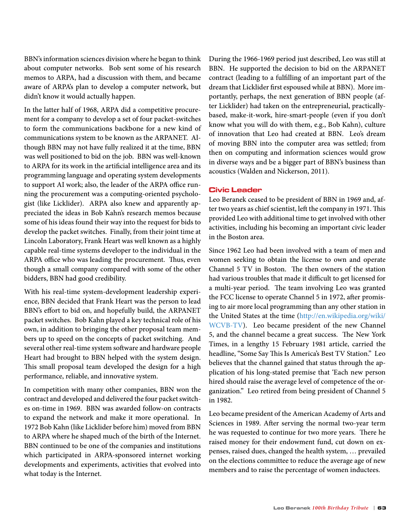BBN's information sciences division where he began to think about computer networks. Bob sent some of his research memos to ARPA, had a discussion with them, and became aware of ARPA's plan to develop a computer network, but didn't know it would actually happen.

In the latter half of 1968, ARPA did a competitive procurement for a company to develop a set of four packet-switches to form the communications backbone for a new kind of communications system to be known as the ARPANET. Although BBN may not have fully realized it at the time, BBN was well positioned to bid on the job. BBN was well-known to ARPA for its work in the artificial intelligence area and its programming language and operating system developments to support AI work; also, the leader of the ARPA office running the procurement was a computing-oriented psychologist (like Licklider). ARPA also knew and apparently appreciated the ideas in Bob Kahn's research memos because some of his ideas found their way into the request for bids to develop the packet switches. Finally, from their joint time at Lincoln Laboratory, Frank Heart was well known as a highly capable real-time systems developer to the individual in the ARPA office who was leading the procurement. Thus, even though a small company compared with some of the other bidders, BBN had good credibility.

With his real-time system-development leadership experience, BBN decided that Frank Heart was the person to lead BBN's effort to bid on, and hopefully build, the ARPANET packet switches. Bob Kahn played a key technical role of his own, in addition to bringing the other proposal team members up to speed on the concepts of packet switching. And several other real-time system software and hardware people Heart had brought to BBN helped with the system design. This small proposal team developed the design for a high performance, reliable, and innovative system.

In competition with many other companies, BBN won the contract and developed and delivered the four packet switches on-time in 1969. BBN was awarded follow-on contracts to expand the network and make it more operational. In 1972 Bob Kahn (like Licklider before him) moved from BBN to ARPA where he shaped much of the birth of the Internet. BBN continued to be one of the companies and institutions which participated in ARPA-sponsored internet working developments and experiments, activities that evolved into what today is the Internet.

During the 1966-1969 period just described, Leo was still at BBN. He supported the decision to bid on the ARPANET contract (leading to a fulfilling of an important part of the dream that Licklider first espoused while at BBN). More importantly, perhaps, the next generation of BBN people (after Licklider) had taken on the entrepreneurial, practicallybased, make-it-work, hire-smart-people (even if you don't know what you will do with them, e.g., Bob Kahn), culture of innovation that Leo had created at BBN. Leo's dream of moving BBN into the computer area was settled; from then on computing and information sciences would grow in diverse ways and be a bigger part of BBN's business than acoustics (Walden and Nickerson, 2011).

### Civic Leader

Leo Beranek ceased to be president of BBN in 1969 and, after two years as chief scientist, left the company in 1971. This provided Leo with additional time to get involved with other activities, including his becoming an important civic leader in the Boston area.

Since 1962 Leo had been involved with a team of men and women seeking to obtain the license to own and operate Channel 5 TV in Boston. The then owners of the station had various troubles that made it difficult to get licensed for a multi-year period. The team involving Leo was granted the FCC license to operate Channel 5 in 1972, after promising to air more local programming than any other station in the United States at the time (http://en.wikipedia.org/wiki/ WCVB-TV). Leo became president of the new Channel 5, and the channel became a great success. The New York Times, in a lengthy 15 February 1981 article, carried the headline, "Some Say This Is America's Best TV Station." Leo believes that the channel gained that status through the application of his long-stated premise that 'Each new person hired should raise the average level of competence of the organization." Leo retired from being president of Channel 5 in 1982.

Leo became president of the American Academy of Arts and Sciences in 1989. After serving the normal two-year term he was requested to continue for two more years. There he raised money for their endowment fund, cut down on expenses, raised dues, changed the health system, … prevailed on the elections committee to reduce the average age of new members and to raise the percentage of women inductees.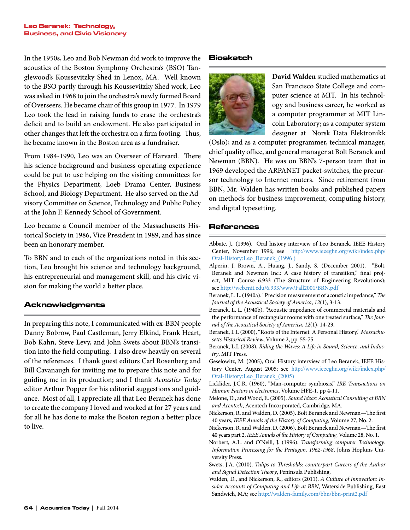In the 1950s, Leo and Bob Newman did work to improve the acoustics of the Boston Symphony Orchestra's (BSO) Tanglewood's Koussevitzky Shed in Lenox, MA. Well known to the BSO partly through his Koussevitzky Shed work, Leo was asked in 1968 to join the orchestra's newly formed Board of Overseers. He became chair of this group in 1977. In 1979 Leo took the lead in raising funds to erase the orchestra's deficit and to build an endowment. He also participated in other changes that left the orchestra on a firm footing. Thus, he became known in the Boston area as a fundraiser.

From 1984-1990, Leo was an Overseer of Harvard. There his science background and business operating experience could be put to use helping on the visiting committees for the Physics Department, Loeb Drama Center, Business School, and Biology Department. He also served on the Advisory Committee on Science, Technology and Public Policy at the John F. Kennedy School of Government.

Leo became a Council member of the Massachusetts Historical Society in 1986, Vice President in 1989, and has since been an honorary member.

To BBN and to each of the organizations noted in this section, Leo brought his science and technology background, his entrepreneurial and management skill, and his civic vision for making the world a better place.

# Acknowledgments

In preparing this note, I communicated with ex-BBN people Danny Bobrow, Paul Castleman, Jerry Elkind, Frank Heart, Bob Kahn, Steve Levy, and John Swets about BBN's transition into the field computing. I also drew heavily on several of the references. I thank guest editors Carl Rosenberg and Bill Cavanaugh for inviting me to prepare this note and for guiding me in its production; and I thank *Acoustics Today* editor Arthur Popper for his editorial suggestions and guidance. Most of all, I appreciate all that Leo Beranek has done to create the company I loved and worked at for 27 years and for all he has done to make the Boston region a better place to live.

## Biosketch



**David Walden** studied mathematics at San Francisco State College and computer science at MIT. In his technology and business career, he worked as a computer programmer at MIT Lincoln Laboratory; as a computer system designer at Norsk Data Elektronikk

(Oslo); and as a computer programmer, technical manager, chief quality office, and general manager at Bolt Beranek and Newman (BBN). He was on BBN's 7-person team that in 1969 developed the ARPANET packet-switches, the precursor technology to Internet routers. Since retirement from BBN, Mr. Walden has written books and published papers on methods for business improvement, computing history, and digital typesetting.

# References

- Abbate, J., (1996). Oral history interview of Leo Beranek, IEEE History Center, November 1996; see http://www.ieeeghn.org/wiki/index.php/ Oral-History:Leo\_Beranek\_(1996 )
- Alperin, J. Brown, A., Huang, J., Sandy, S. (December 2001). "Bolt, Beranek and Newman Inc.: A case history of transition," final project, MIT Course 6.933 (The Structure of Engineering Revolutions); see http://web.mit.edu/6.933/www/Fall2001/BBN.pdf
- Beranek, L. L. (1940a). "Precision measurement of acoustic impedance,"*The Journal of the Acoustical Society of America*, *12*(1), 3-13.
- Beranek, L. L. (1940b). "Acoustic impedance of commercial materials and the performance of rectangular rooms with one treated surface," *The Journal of the Acoustical Society of America*, *12*(1), 14-23.
- Beranek, L.L (2000), "Roots of the Internet: A Personal History," *Massachusetts Historical Review*, Volume 2, pp. 55-75.
- Beranek, L.L (2008), *Riding the Waves: A Life in Sound, Science, and Industry*, MIT Press.
- Geselowitz, M. (2005), Oral History interview of Leo Beranek, IEEE History Center, August 2005; see http://www.ieeeghn.org/wiki/index.php/ Oral-History:Leo\_Beranek\_(2005)
- Licklider, J.C.R. (1960), "Man-computer symbiosis," *IRE Transactions on Human Factors in electronics*, Volume HFE-1, pp 4-11.
- Melone, D., and Wood, E. (2005). *Sound Ideas: Acoustical Consulting at BBN and Acentech*, Acentech Incorporated, Cambridge, MA.
- Nickerson, R. and Walden, D. (2005). Bolt Beranek and Newman—The first 40 years, *IEEE Annals of the History of Computing,* Volume 27, No. 2.
- Nickerson, R. and Walden, D. (2006). Bolt Beranek and Newman—The first 40 years part 2, *IEEE Annals of the History of Computing,* Volume 28, No. 1.
- Norbert, A.L. and O'Neill, J. (1996). *Transforming computer Technology: Information Processing for the Pentagon, 1962-1968*, Johns Hopkins University Press.
- Swets, J.A. (2010). *Tulips to Thresholds: counterpart Careers of the Author and Signal Detection Theory*, Peninsula Publishing.
- Walden, D., and Nickerson, R., editors (2011). *A Culture of Innovation: Insider Accounts of Computing and Life at BBN*, Waterside Publishing, East Sandwich, MA; see http://walden-family.com/bbn/bbn-print2.pdf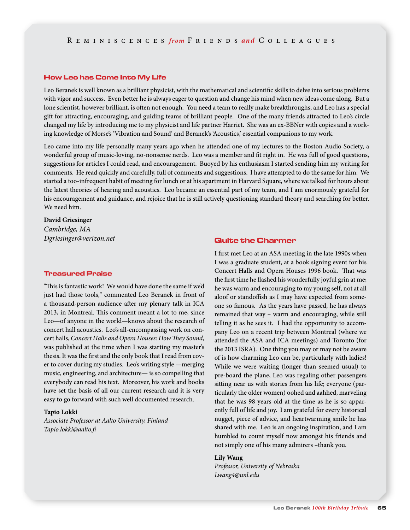#### How Leo has Come Into My Life

Leo Beranek is well known as a brilliant physicist, with the mathematical and scientific skills to delve into serious problems with vigor and success. Even better he is always eager to question and change his mind when new ideas come along. But a lone scientist, however brilliant, is often not enough. You need a team to really make breakthroughs, and Leo has a special gift for attracting, encouraging, and guiding teams of brilliant people. One of the many friends attracted to Leo's circle changed my life by introducing me to my physicist and life partner Harriet. She was an ex-BBNer with copies and a working knowledge of Morse's 'Vibration and Sound' and Beranek's 'Acoustics,' essential companions to my work.

Leo came into my life personally many years ago when he attended one of my lectures to the Boston Audio Society, a wonderful group of music-loving, no-nonsense nerds. Leo was a member and fit right in. He was full of good questions, suggestions for articles I could read, and encouragement. Buoyed by his enthusiasm I started sending him my writing for comments. He read quickly and carefully, full of comments and suggestions. I have attempted to do the same for him. We started a too-infrequent habit of meeting for lunch or at his apartment in Harvard Square, where we talked for hours about the latest theories of hearing and acoustics. Leo became an essential part of my team, and I am enormously grateful for his encouragement and guidance, and rejoice that he is still actively questioning standard theory and searching for better. We need him.

# **David Griesinger** *Cambridge, MA Dgriesinger@verizon.net* Charmer Communication Control Communication Charmer

#### Treasured Praise

"This is fantastic work! We would have done the same if we'd just had those tools," commented Leo Beranek in front of a thousand-person audience after my plenary talk in ICA 2013, in Montreal. This comment meant a lot to me, since Leo—of anyone in the world—knows about the research of concert hall acoustics. Leo's all-encompassing work on concert halls, *Concert Halls and Opera Houses: How They Sound*, was published at the time when I was starting my master's thesis. It was the first and the only book that I read from cover to cover during my studies. Leo's writing style —merging music, engineering, and architecture— is so compelling that everybody can read his text. Moreover, his work and books have set the basis of all our current research and it is very easy to go forward with such well documented research.

#### **Tapio Lokki**

*Associate Professor at Aalto University, Finland Tapio.lokki@aalto.fi*

I first met Leo at an ASA meeting in the late 1990s when I was a graduate student, at a book signing event for his Concert Halls and Opera Houses 1996 book. That was the first time he flashed his wonderfully joyful grin at me; he was warm and encouraging to my young self, not at all aloof or standoffish as I may have expected from someone so famous. As the years have passed, he has always remained that way – warm and encouraging, while still telling it as he sees it. I had the opportunity to accompany Leo on a recent trip between Montreal (where we attended the ASA and ICA meetings) and Toronto (for the 2013 ISRA). One thing you may or may not be aware of is how charming Leo can be, particularly with ladies! While we were waiting (longer than seemed usual) to pre-board the plane, Leo was regaling other passengers sitting near us with stories from his life; everyone (particularly the older women) oohed and aahhed, marveling that he was 98 years old at the time as he is so apparently full of life and joy. I am grateful for every historical nugget, piece of advice, and heartwarming smile he has shared with me. Leo is an ongoing inspiration, and I am humbled to count myself now amongst his friends and not simply one of his many admirers –thank you.

#### **Lily Wang**

*Professor, University of Nebraska Lwang4@unl.edu*